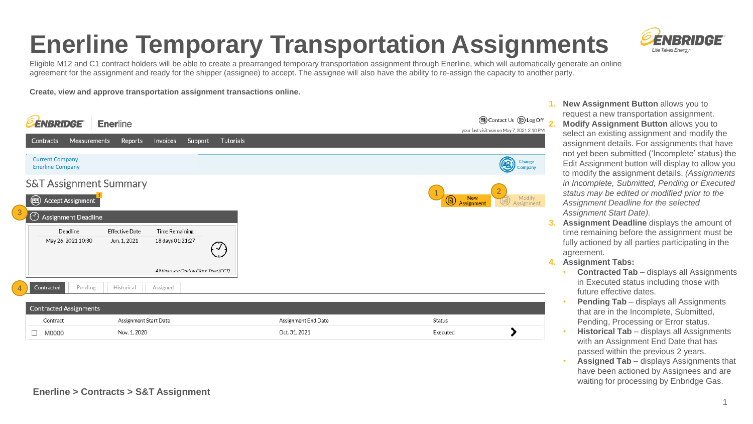#### **Enerline Temporary Transportation Assignments**



Eligible M12 and C1 contract holders will be able to create a prearranged temporary transportation assignment through Enerline, which will automatically generate an online agreement for the assignment and ready for the shipper (assignee) to accept. The assignee will also have the ability to re-assign the capacity to another party.

**Create, view and approve transportation assignment transactions online.**

| <b>ENBRIDGE</b>                                   | <b>Enerline</b>       |                     |                  | <b>③</b> Contact Us <b>⑤</b> Log Off 2<br>your last visit was on May 7, 2021 2:18 PM |
|---------------------------------------------------|-----------------------|---------------------|------------------|--------------------------------------------------------------------------------------|
| Measurements<br><b>Contracts</b>                  | Reports               | Invoices<br>Support | <b>Tutorials</b> |                                                                                      |
| <b>Current Company</b><br><b>Enerline Company</b> |                       |                     |                  | Change<br>Company                                                                    |
| <b>S&amp;T Assignment Summary</b>                 |                       |                     |                  |                                                                                      |
| Accept Assignment<br>$\circledR$                  |                       |                     |                  | New<br>Assignment<br>Modify<br>$^{\circledR}$<br>Assignment                          |
| $\odot$<br>Assignment Deadline                    |                       |                     |                  | 3                                                                                    |
| Deadline                                          | <b>Effective Date</b> | Time Remaining      |                  |                                                                                      |
| May 26, 2021 10:30                                | Jun. 1, 2021          | 18 days 01:21:27    | ✓                | 4                                                                                    |
| All times are Central Clock Time (CCT)            |                       |                     |                  |                                                                                      |
| Contracted<br>Pending                             | Historical            | Assigned            |                  |                                                                                      |
| <b>Contracted Assignments</b>                     |                       |                     |                  |                                                                                      |

| Contract   | Assignment Start Date | Assignment End Date | Status   |  |  |  |
|------------|-----------------------|---------------------|----------|--|--|--|
| M0000<br>一 | Nov. 1.2020           | Oct. 31. 2021       | Executed |  |  |  |

- **1. New Assignment Button** allows you to request a new transportation assignment. **2. Modify Assignment Button** allows you to select an existing assignment and modify the assignment details. For assignments that have not yet been submitted ('Incomplete' status) the Edit Assignment button will display to allow you to modify the assignment details. *(Assignments in Incomplete, Submitted, Pending or Executed status may be edited or modified prior to the Assignment Deadline for the selected Assignment Start Date).*
- **3. Assignment Deadline** displays the amount of time remaining before the assignment must be fully actioned by all parties participating in the agreement.
- **4. Assignment Tabs:**
	- **Contracted Tab**  displays all Assignments in Executed status including those with future effective dates.
	- **Pending Tab** displays all Assignments that are in the Incomplete, Submitted, Pending, Processing or Error status.
	- **Historical Tab**  displays all Assignments with an Assignment End Date that has passed within the previous 2 years.
	- **Assigned Tab**  displays Assignments that have been actioned by Assignees and are waiting for processing by Enbridge Gas.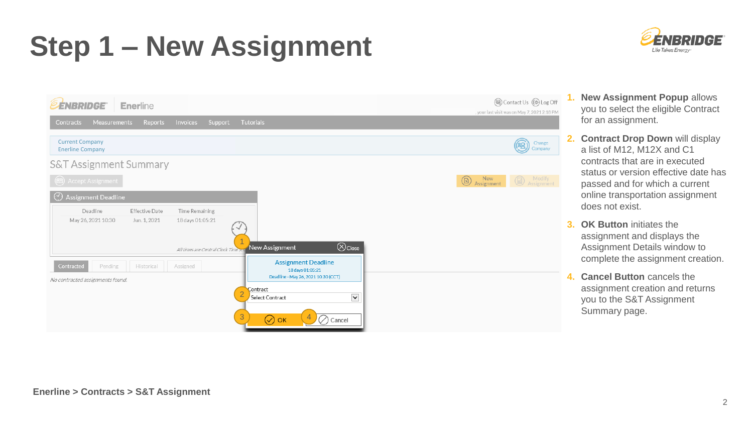# **Step 1 – New Assignment**



- (a) Contact Us (B) Log Off **EENBRIDGE** Enerline vour last visit was on May 7, 2021 2:18 PM Measurements Reports Invoices Support Tutorials Contracts Current Company  $\circledR$ Change Enerline Company Company **S&T Assignment Summary New Assignment CO** Assignment  $\circledR$ Assignment Deadline Deadline **Effective Date** Time Remaining May 26, 2021 10:30 Jun. 1, 2021 18 days 01:05:21 1  $\bigotimes$ Close New Assignment All times are Central Clock Time **Assignment Deadline** Contracted Pending Historical Assigned 18 days 01:05:21 Deadline - May 26, 2021 10:30 (CCT) No contracted assignments found. Contract 2  $\checkmark$ Select Contract  $\bigcirc$  Cancel  $\oslash$  ок
- **1. New Assignment Popup** allows you to select the eligible Contract for an assignment.
	- **2. Contract Drop Down** will display a list of M12, M12X and C1 contracts that are in executed status or version effective date has passed and for which a current online transportation assignment does not exist.
	- **3. OK Button** initiates the assignment and displays the Assignment Details window to complete the assignment creation.
	- **4. Cancel Button** cancels the assignment creation and returns you to the S&T Assignment Summary page.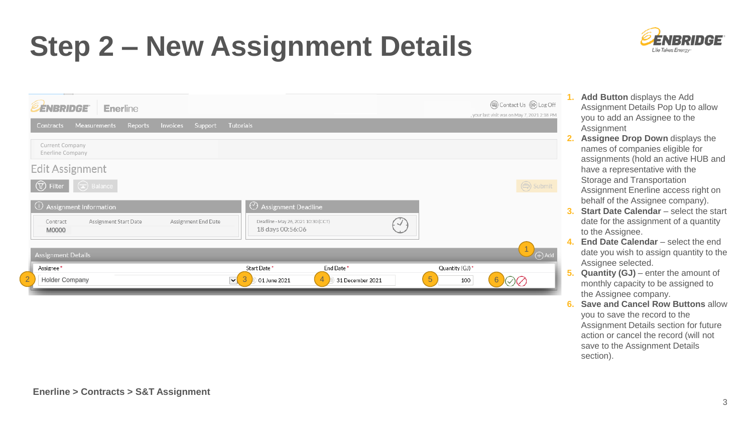# **Step 2 – New Assignment Details**



| <b><i>EENBRIDGE</i></b><br>Enerline                                |                                                                                               |                             | (a) Contact Us (B) Log Off<br>your last visit was on May 7, 2021 2:18 PM |
|--------------------------------------------------------------------|-----------------------------------------------------------------------------------------------|-----------------------------|--------------------------------------------------------------------------|
| Measurements<br><b>Invoices</b><br>Support<br>Contracts<br>Reports | Tutorials                                                                                     |                             |                                                                          |
| Current Company<br>Enerline Company<br>$\mathbb{R}^n$              |                                                                                               |                             |                                                                          |
| Edit Assignment                                                    |                                                                                               |                             |                                                                          |
| $\bigodot$ Balance<br>$\circled{r}$ Filter                         |                                                                                               |                             | (今) Submit                                                               |
| 1 Assignment Information                                           | Assignment Deadline                                                                           |                             |                                                                          |
| Assignment Start Date<br>Assignment End Date<br>Contract<br>M0000  | Deadline - May 26, 2021 10:30 (CCT)<br>18 days 00:56:06                                       |                             |                                                                          |
| <b>Assignment Details</b>                                          |                                                                                               |                             | $\sqrt{4}$ Add                                                           |
| Assignee *<br><b>Holder Company</b>                                | Start Date*<br>End Date*<br>$\vee$<br>3<br>01 June 2021<br>$\overline{4}$<br>31 December 2021 | Quantity (GJ) *<br>5<br>100 | 6                                                                        |
|                                                                    |                                                                                               |                             |                                                                          |

- **1. Add Button** displays the Add Assignment Details Pop Up to allow you to add an Assignee to the Assignment
- **2. Assignee Drop Down** displays the names of companies eligible for assignments (hold an active HUB and have a representative with the Storage and Transportation Assignment Enerline access right on behalf of the Assignee company).
- **Start Date Calendar** select the start date for the assignment of a quantity to the Assignee.
- **4. End Date Calendar** select the end date you wish to assign quantity to the Assignee selected.
- **5. Quantity (GJ)** enter the amount of monthly capacity to be assigned to the Assignee company.
- **6. Save and Cancel Row Buttons** allow you to save the record to the Assignment Details section for future action or cancel the record (will not save to the Assignment Details section).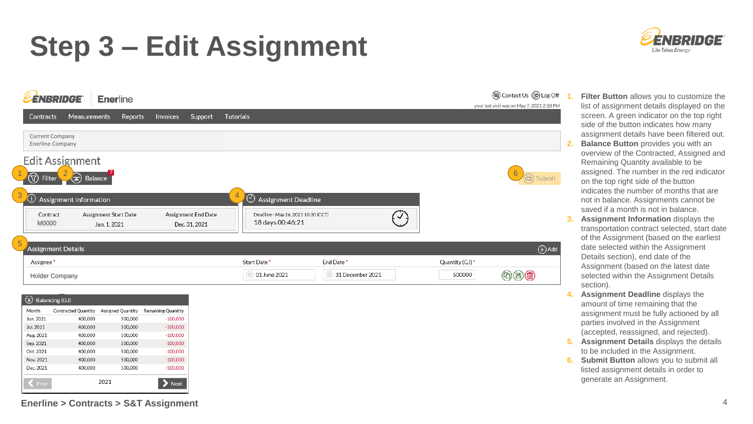## **Step 3 – Edit Assignment**



| Balancing (GJ) |                            |                   |                    |  |  |  |  |
|----------------|----------------------------|-------------------|--------------------|--|--|--|--|
| Month          | <b>Contracted Quantity</b> | Assigned Quantity | Remaining Quantity |  |  |  |  |
| Jun. 2021      | 400,000                    | 500,000           | $-100,000$         |  |  |  |  |
| Jul. 2021      | 400,000                    | 500,000           | $-100,000$         |  |  |  |  |
| Aug. 2021      | 400,000                    | 500,000           | $-100,000$         |  |  |  |  |
| Sep. 2021      | 400,000                    | 500,000           | $-100,000$         |  |  |  |  |
| Oct. 2021      | 400,000                    | 500,000           | $-100,000$         |  |  |  |  |
| Nov. 2021      | 400,000                    | 500,000           | $-100,000$         |  |  |  |  |
| Dec. 2021      | 400,000                    | 500,000           | $-100,000$         |  |  |  |  |
| Prev           | 2021<br><b>Next</b>        |                   |                    |  |  |  |  |

**Enerline > Contracts > S&T Assignment** 4



list of assignment details displayed on the screen. A green indicator on the top right side of the button indicates how many assignment details have been filtered out. **2. Balance Button** provides you with an overview of the Contracted, Assigned and Remaining Quantity available to be assigned. The number in the red indicator on the top right side of the button indicates the number of months that are not in balance. Assignments cannot be saved if a month is not in balance. **3. Assignment Information** displays the transportation contract selected, start date of the Assignment (based on the earliest date selected within the Assignment

**1. Filter Button** allows you to customize the

- Details section), end date of the Assignment (based on the latest date selected within the Assignment Details section). **4. Assignment Deadline** displays the
- amount of time remaining that the assignment must be fully actioned by all parties involved in the Assignment (accepted, reassigned, and rejected).
- **5. Assignment Details** displays the details to be included in the Assignment.
- **6. Submit Button** allows you to submit all listed assignment details in order to generate an Assignment.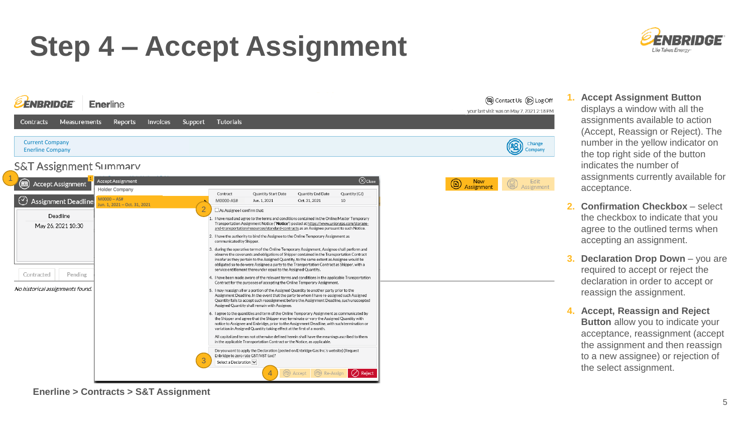## **Step 4 – Accept Assignment**





**1. Accept Assignment Button** displays a window with all the assignments available to action (Accept, Reassign or Reject). The number in the yellow indicator on the top right side of the button indicates the number of assignments currently available for acceptance.

- **2. Confirmation Checkbox** select the checkbox to indicate that you agree to the outlined terms when accepting an assignment.
- **3. Declaration Drop Down** you are required to accept or reject the declaration in order to accept or reassign the assignment.
- **4. Accept, Reassign and Reject Button** allow you to indicate your acceptance, reassignment (accept the assignment and then reassign to a new assignee) or rejection of the select assignment.

**Enerline > Contracts > S&T Assignment**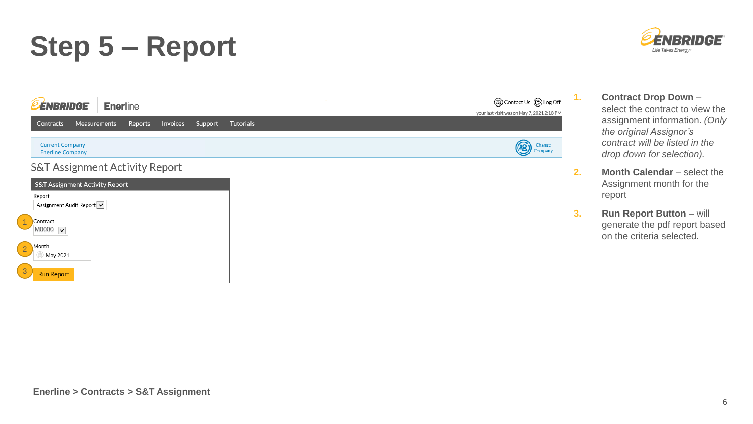### **Step 5 – Report**





- **1. Contract Drop Down** select the contract to view the assignment information. *(Only the original Assignor's contract will be listed in the drop down for selection).*
- **2. Month Calendar** select the Assignment month for the report
- **3. Run Report Button** will generate the pdf report based on the criteria selected.

3

**Run Report**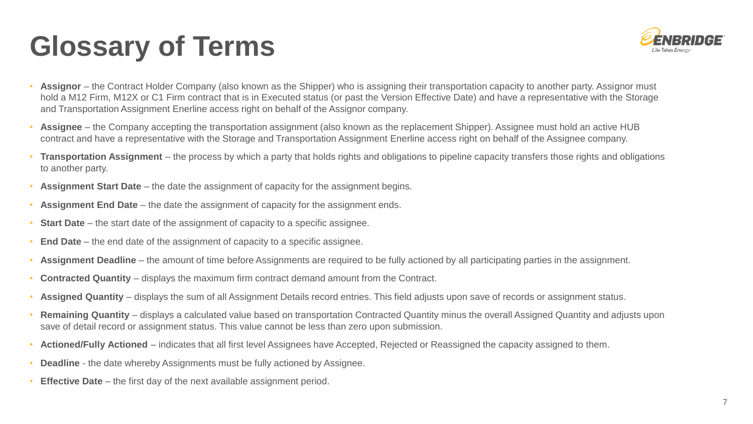# **Glossary of Terms**



- Assignor the Contract Holder Company (also known as the Shipper) who is assigning their transportation capacity to another party. Assignor must hold a M12 Firm, M12X or C1 Firm contract that is in Executed status (or past the Version Effective Date) and have a representative with the Storage and Transportation Assignment Enerline access right on behalf of the Assignor company.
- **Assignee**  the Company accepting the transportation assignment (also known as the replacement Shipper). Assignee must hold an active HUB contract and have a representative with the Storage and Transportation Assignment Enerline access right on behalf of the Assignee company.
- **Transportation Assignment**  the process by which a party that holds rights and obligations to pipeline capacity transfers those rights and obligations to another party.
- **Assignment Start Date**  the date the assignment of capacity for the assignment begins.
- **Assignment End Date** the date the assignment of capacity for the assignment ends.
- **Start Date** the start date of the assignment of capacity to a specific assignee.
- **End Date**  the end date of the assignment of capacity to a specific assignee.
- **Assignment Deadline**  the amount of time before Assignments are required to be fully actioned by all participating parties in the assignment.
- **Contracted Quantity**  displays the maximum firm contract demand amount from the Contract.
- **Assigned Quantity**  displays the sum of all Assignment Details record entries. This field adjusts upon save of records or assignment status.
- **Remaining Quantity**  displays a calculated value based on transportation Contracted Quantity minus the overall Assigned Quantity and adjusts upon save of detail record or assignment status. This value cannot be less than zero upon submission.
- **Actioned/Fully Actioned**  indicates that all first level Assignees have Accepted, Rejected or Reassigned the capacity assigned to them.
- **Deadline**  the date whereby Assignments must be fully actioned by Assignee.
- **Effective Date** the first day of the next available assignment period.